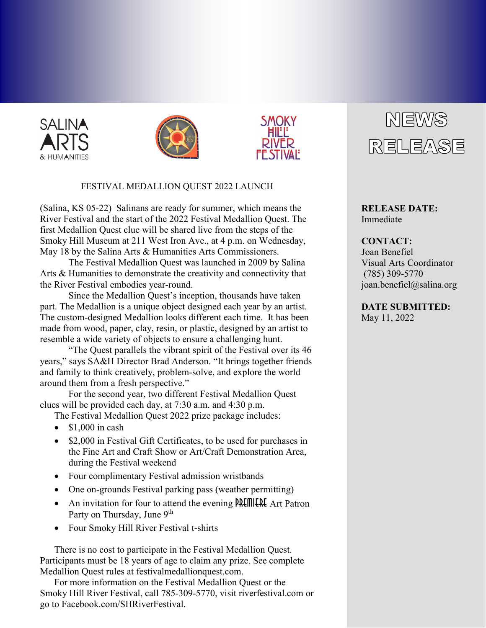





## FESTIVAL MEDALLION QUEST 2022 LAUNCH

(Salina, KS 05-22) Salinans are ready for summer, which means the River Festival and the start of the 2022 Festival Medallion Quest. The first Medallion Quest clue will be shared live from the steps of the Smoky Hill Museum at 211 West Iron Ave., at 4 p.m. on Wednesday, May 18 by the Salina Arts & Humanities Arts Commissioners.

The Festival Medallion Quest was launched in 2009 by Salina Arts & Humanities to demonstrate the creativity and connectivity that the River Festival embodies year-round.

Since the Medallion Quest's inception, thousands have taken part. The Medallion is a unique object designed each year by an artist. The custom-designed Medallion looks different each time. It has been made from wood, paper, clay, resin, or plastic, designed by an artist to resemble a wide variety of objects to ensure a challenging hunt.

"The Quest parallels the vibrant spirit of the Festival over its 46 years," says SA&H Director Brad Anderson. "It brings together friends and family to think creatively, problem-solve, and explore the world around them from a fresh perspective."

For the second year, two different Festival Medallion Quest clues will be provided each day, at 7:30 a.m. and 4:30 p.m.

- The Festival Medallion Quest 2022 prize package includes:
- $\bullet$  \$1,000 in cash
- \$2,000 in Festival Gift Certificates, to be used for purchases in the Fine Art and Craft Show or Art/Craft Demonstration Area, during the Festival weekend
- Four complimentary Festival admission wristbands
- One on-grounds Festival parking pass (weather permitting)
- An invitation for four to attend the evening **PALITILER** Art Patron Party on Thursday, June 9<sup>th</sup>
- Four Smoky Hill River Festival t-shirts

There is no cost to participate in the Festival Medallion Quest. Participants must be 18 years of age to claim any prize. See complete Medallion Quest rules at festivalmedallionquest.com.

For more information on the Festival Medallion Quest or the Smoky Hill River Festival, call 785-309-5770, visit riverfestival.com or go to Facebook.com/SHRiverFestival.



**RELEASE DATE:** Immediate

## **CONTACT:** Joan Benefiel Visual Arts Coordinator (785) 309-5770 joan.benefiel@salina.org

**DATE SUBMITTED:** May 11, 2022